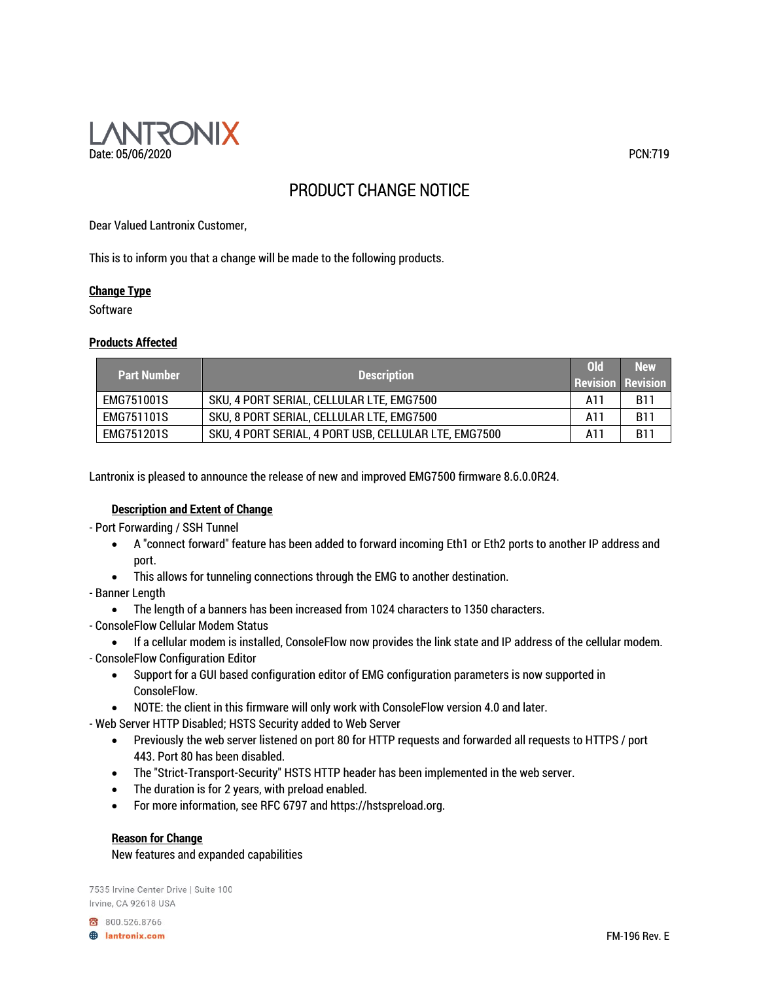

# PRODUCT CHANGE NOTICE

Dear Valued Lantronix Customer,

This is to inform you that a change will be made to the following products.

## **Change Type**

Software

## **Products Affected**

| <b>Part Number</b> | <b>Description</b>                                    | <b>Old</b> | <b>New</b><br><b>Revision Revision</b> |
|--------------------|-------------------------------------------------------|------------|----------------------------------------|
| EMG751001S         | SKU, 4 PORT SERIAL, CELLULAR LTE, EMG7500             | A11        | <b>B11</b>                             |
| EMG751101S         | SKU, 8 PORT SERIAL, CELLULAR LTE, EMG7500             | A11        | <b>B11</b>                             |
| EMG751201S         | SKU, 4 PORT SERIAL, 4 PORT USB, CELLULAR LTE, EMG7500 | A11        | <b>B11</b>                             |

Lantronix is pleased to announce the release of new and improved EMG7500 firmware 8.6.0.0R24.

## **Description and Extent of Change**

- Port Forwarding / SSH Tunnel

- A "connect forward" feature has been added to forward incoming Eth1 or Eth2 ports to another IP address and port.
- This allows for tunneling connections through the EMG to another destination.
- Banner Length
	- The length of a banners has been increased from 1024 characters to 1350 characters.
- ConsoleFlow Cellular Modem Status
	- If a cellular modem is installed, ConsoleFlow now provides the link state and IP address of the cellular modem.
- ConsoleFlow Configuration Editor
	- Support for a GUI based configuration editor of EMG configuration parameters is now supported in ConsoleFlow.
	- NOTE: the client in this firmware will only work with ConsoleFlow version 4.0 and later.

- Web Server HTTP Disabled; HSTS Security added to Web Server

- Previously the web server listened on port 80 for HTTP requests and forwarded all requests to HTTPS / port 443. Port 80 has been disabled.
- The "Strict-Transport-Security" HSTS HTTP header has been implemented in the web server.
- The duration is for 2 years, with preload enabled.
- For more information, see RFC 6797 and https://hstspreload.org.

## **Reason for Change**

New features and expanded capabilities

7535 Irvine Center Drive | Suite 100 Irvine, CA 92618 USA

800.526.8766 **A** lantronix.com